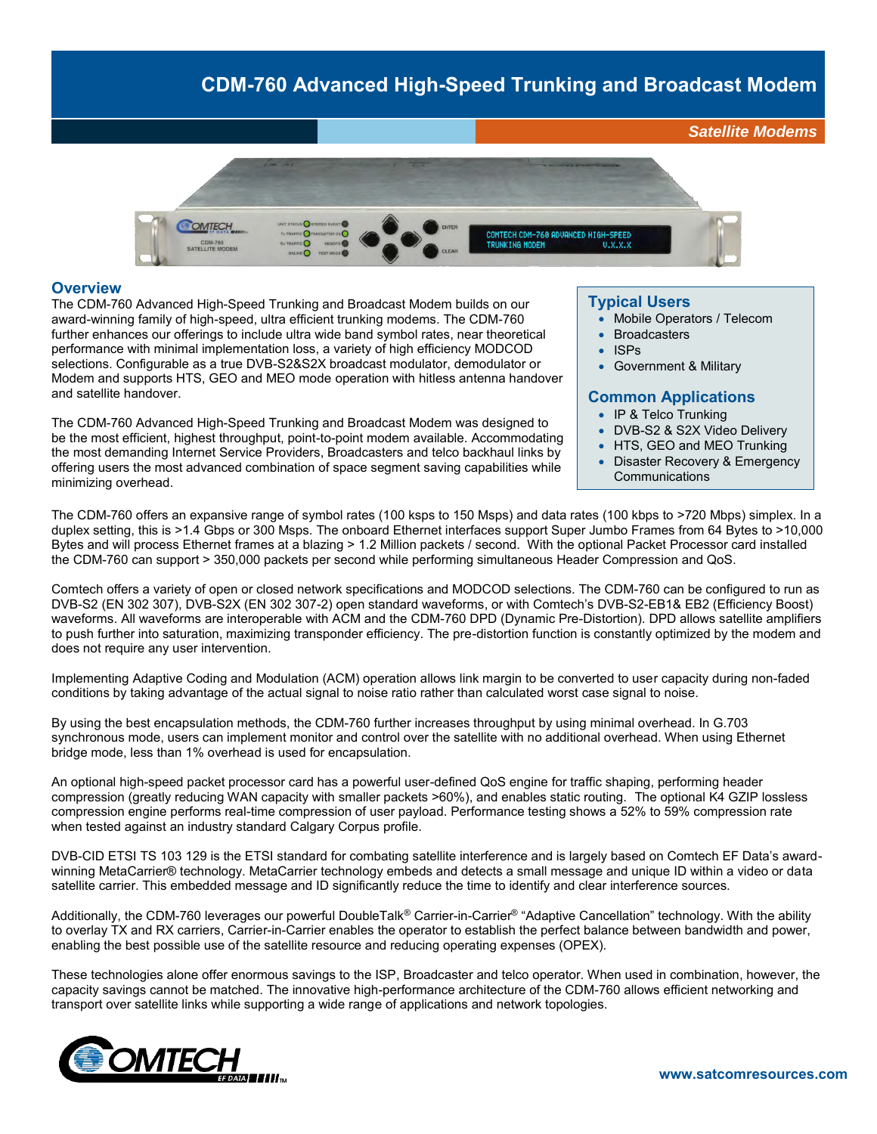# **CDM-760 Advanced High-Speed Trunking and Broadcast Modem**



#### **Overview**

The CDM-760 Advanced High-Speed Trunking and Broadcast Modem builds on our award-winning family of high-speed, ultra efficient trunking modems. The CDM-760 further enhances our offerings to include ultra wide band symbol rates, near theoretical performance with minimal implementation loss, a variety of high efficiency MODCOD selections. Configurable as a true DVB-S2&S2X broadcast modulator, demodulator or Modem and supports HTS, GEO and MEO mode operation with hitless antenna handover and satellite handover.

The CDM-760 Advanced High-Speed Trunking and Broadcast Modem was designed to be the most efficient, highest throughput, point-to-point modem available. Accommodating the most demanding Internet Service Providers, Broadcasters and telco backhaul links by offering users the most advanced combination of space segment saving capabilities while minimizing overhead.

#### **Typical Users**

- Mobile Operators / Telecom
- Broadcasters
- ISPs
- Government & Military

#### **Common Applications**

- IP & Telco Trunking
- DVB-S2 & S2X Video Delivery
- HTS, GEO and MEO Trunking
- Disaster Recovery & Emergency **Communications**

The CDM-760 offers an expansive range of symbol rates (100 ksps to 150 Msps) and data rates (100 kbps to >720 Mbps) simplex. In a duplex setting, this is >1.4 Gbps or 300 Msps. The onboard Ethernet interfaces support Super Jumbo Frames from 64 Bytes to >10,000 Bytes and will process Ethernet frames at a blazing > 1.2 Million packets / second. With the optional Packet Processor card installed the CDM-760 can support > 350,000 packets per second while performing simultaneous Header Compression and QoS.

Comtech offers a variety of open or closed network specifications and MODCOD selections. The CDM-760 can be configured to run as DVB-S2 (EN 302 307), DVB-S2X (EN 302 307-2) open standard waveforms, or with Comtech's DVB-S2-EB1& EB2 (Efficiency Boost) waveforms. All waveforms are interoperable with ACM and the CDM-760 DPD (Dynamic Pre-Distortion). DPD allows satellite amplifiers to push further into saturation, maximizing transponder efficiency. The pre-distortion function is constantly optimized by the modem and does not require any user intervention.

Implementing Adaptive Coding and Modulation (ACM) operation allows link margin to be converted to user capacity during non-faded conditions by taking advantage of the actual signal to noise ratio rather than calculated worst case signal to noise.

By using the best encapsulation methods, the CDM-760 further increases throughput by using minimal overhead. In G.703 synchronous mode, users can implement monitor and control over the satellite with no additional overhead. When using Ethernet bridge mode, less than 1% overhead is used for encapsulation.

An optional high-speed packet processor card has a powerful user-defined QoS engine for traffic shaping, performing header compression (greatly reducing WAN capacity with smaller packets >60%), and enables static routing. The optional K4 GZIP lossless compression engine performs real-time compression of user payload. Performance testing shows a 52% to 59% compression rate when tested against an industry standard Calgary Corpus profile.

DVB-CID ETSI TS 103 129 is the ETSI standard for combating satellite interference and is largely based on Comtech EF Data's awardwinning MetaCarrier® technology. MetaCarrier technology embeds and detects a small message and unique ID within a video or data satellite carrier. This embedded message and ID significantly reduce the time to identify and clear interference sources.

Additionally, the CDM-760 leverages our powerful DoubleTalk<sup>®</sup> Carrier-in-Carrier<sup>®</sup> "Adaptive Cancellation" technology. With the ability to overlay TX and RX carriers, Carrier-in-Carrier enables the operator to establish the perfect balance between bandwidth and power, enabling the best possible use of the satellite resource and reducing operating expenses (OPEX).

These technologies alone offer enormous savings to the ISP, Broadcaster and telco operator. When used in combination, however, the capacity savings cannot be matched. The innovative high-performance architecture of the CDM-760 allows efficient networking and transport over satellite links while supporting a wide range of applications and network topologies.

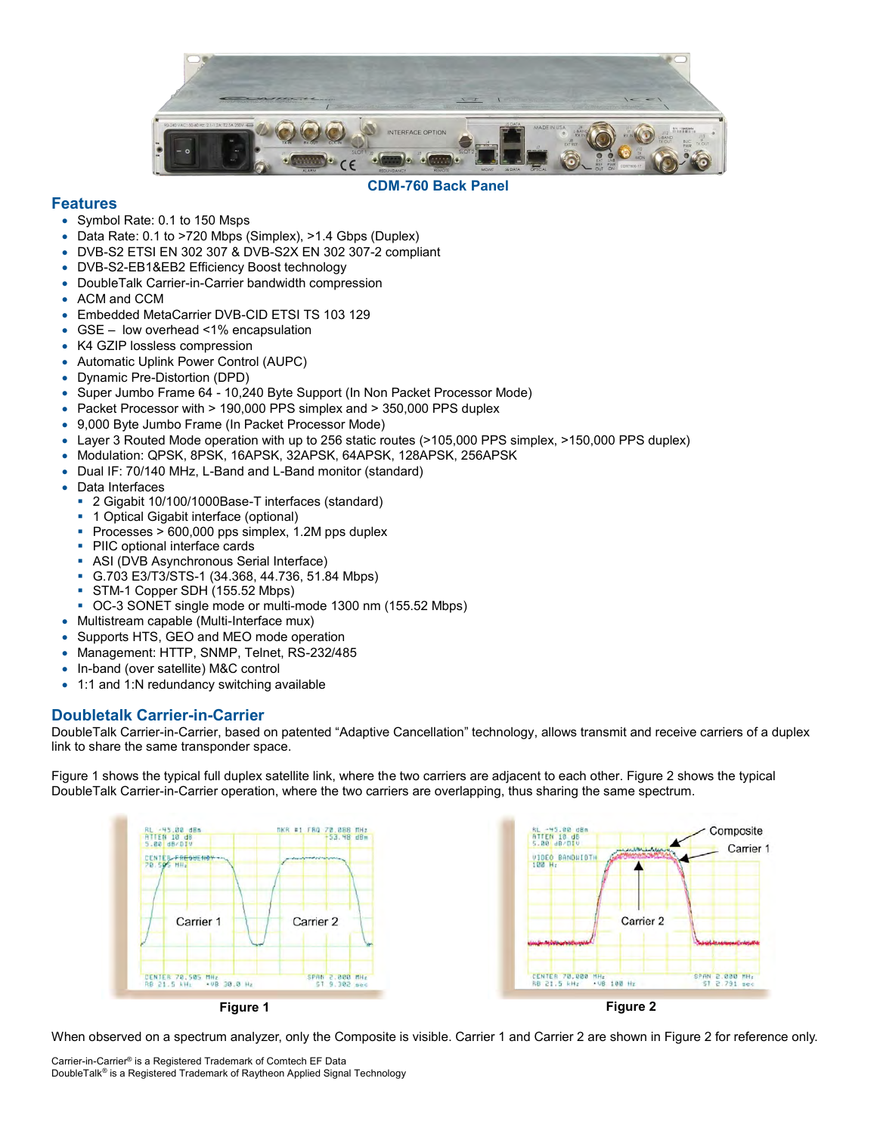

#### **CDM-760 Back Panel**

### **Features**

- Symbol Rate: 0.1 to 150 Msps
- Data Rate: 0.1 to >720 Mbps (Simplex), >1.4 Gbps (Duplex)
- DVB-S2 ETSI EN 302 307 & DVB-S2X EN 302 307-2 compliant
- DVB-S2-EB1&EB2 Efficiency Boost technology
- DoubleTalk Carrier-in-Carrier bandwidth compression
- ACM and CCM
- Embedded MetaCarrier DVB-CID ETSI TS 103 129
- GSE low overhead <1% encapsulation
- K4 GZIP lossless compression
- Automatic Uplink Power Control (AUPC)
- Dynamic Pre-Distortion (DPD)
- Super Jumbo Frame 64 10,240 Byte Support (In Non Packet Processor Mode)
- Packet Processor with > 190,000 PPS simplex and > 350,000 PPS duplex
- 9,000 Byte Jumbo Frame (In Packet Processor Mode)
- Layer 3 Routed Mode operation with up to 256 static routes (>105,000 PPS simplex, >150,000 PPS duplex)
- Modulation: QPSK, 8PSK, 16APSK, 32APSK, 64APSK, 128APSK, 256APSK
- Dual IF: 70/140 MHz, L-Band and L-Band monitor (standard)
- Data Interfaces
	- 2 Gigabit 10/100/1000Base-T interfaces (standard)
	- 1 Optical Gigabit interface (optional)
	- Processes > 600,000 pps simplex, 1.2M pps duplex
	- PIIC optional interface cards
	- ASI (DVB Asynchronous Serial Interface)
	- G.703 E3/T3/STS-1 (34.368, 44.736, 51.84 Mbps)
	- STM-1 Copper SDH (155.52 Mbps)
	- OC-3 SONET single mode or multi-mode 1300 nm (155.52 Mbps)
- Multistream capable (Multi-Interface mux)
- Supports HTS, GEO and MEO mode operation
- Management: HTTP, SNMP, Telnet, RS-232/485
- In-band (over satellite) M&C control
- 1:1 and 1:N redundancy switching available

## **Doubletalk Carrier-in-Carrier**

DoubleTalk Carrier-in-Carrier, based on patented "Adaptive Cancellation" technology, allows transmit and receive carriers of a duplex link to share the same transponder space.

Figure 1 shows the typical full duplex satellite link, where the two carriers are adjacent to each other. Figure 2 shows the typical DoubleTalk Carrier-in-Carrier operation, where the two carriers are overlapping, thus sharing the same spectrum.



When observed on a spectrum analyzer, only the Composite is visible. Carrier 1 and Carrier 2 are shown in Figure 2 for reference only.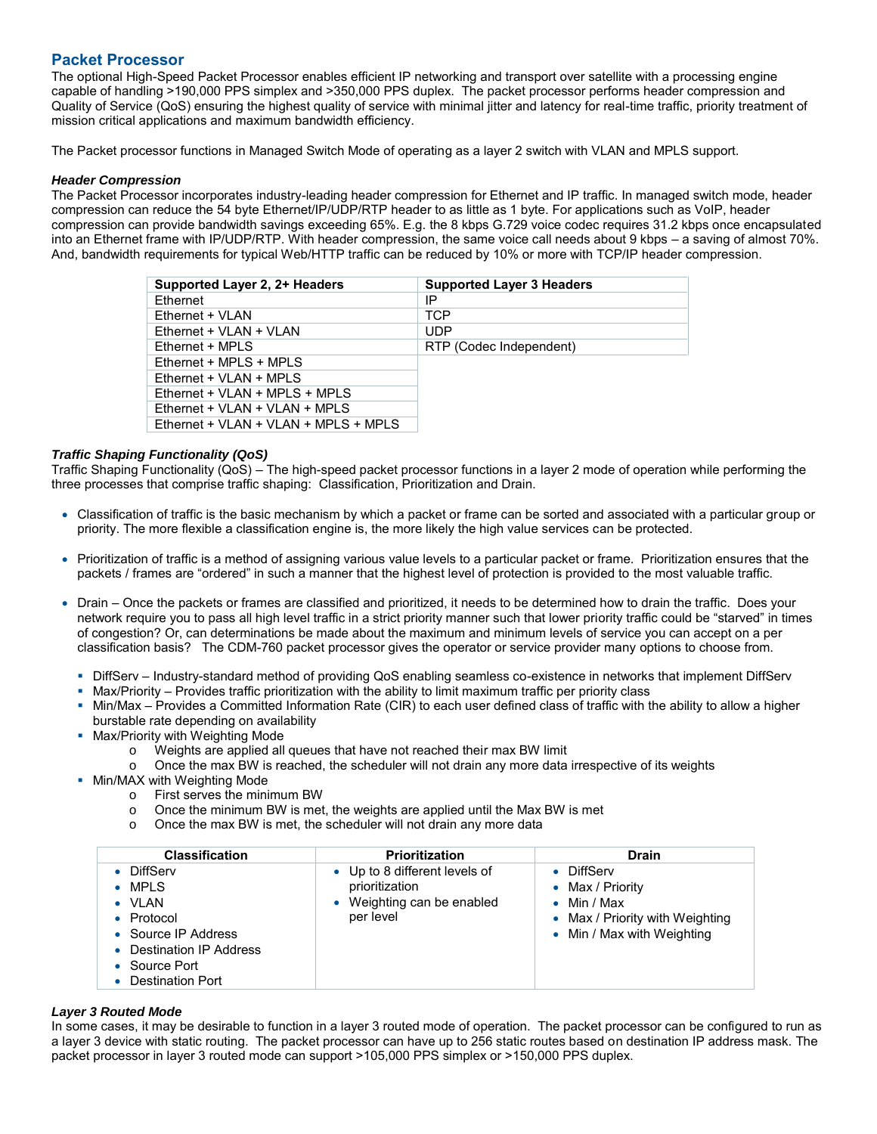## **Packet Processor**

The optional High-Speed Packet Processor enables efficient IP networking and transport over satellite with a processing engine capable of handling >190,000 PPS simplex and >350,000 PPS duplex. The packet processor performs header compression and Quality of Service (QoS) ensuring the highest quality of service with minimal jitter and latency for real-time traffic, priority treatment of mission critical applications and maximum bandwidth efficiency.

The Packet processor functions in Managed Switch Mode of operating as a layer 2 switch with VLAN and MPLS support.

#### *Header Compression*

The Packet Processor incorporates industry-leading header compression for Ethernet and IP traffic. In managed switch mode, header compression can reduce the 54 byte Ethernet/IP/UDP/RTP header to as little as 1 byte. For applications such as VoIP, header compression can provide bandwidth savings exceeding 65%. E.g. the 8 kbps G.729 voice codec requires 31.2 kbps once encapsulated into an Ethernet frame with IP/UDP/RTP. With header compression, the same voice call needs about 9 kbps – a saving of almost 70%. And, bandwidth requirements for typical Web/HTTP traffic can be reduced by 10% or more with TCP/IP header compression.

| Supported Layer 2, 2+ Headers        | <b>Supported Layer 3 Headers</b> |
|--------------------------------------|----------------------------------|
| <b>Fthernet</b>                      | IP                               |
| Ethernet + VLAN                      | TCP                              |
| Ethernet + VLAN + VLAN               | <b>UDP</b>                       |
| Fthernet + MPI S                     | RTP (Codec Independent)          |
| Ethernet + MPLS + MPLS               |                                  |
| $E$ thernet + VLAN + MPLS            |                                  |
| Ethernet + VLAN + MPLS + MPLS        |                                  |
| Ethernet + VLAN + VLAN + MPLS        |                                  |
| Ethernet + VLAN + VLAN + MPLS + MPLS |                                  |

#### *Traffic Shaping Functionality (QoS)*

Traffic Shaping Functionality (QoS) – The high-speed packet processor functions in a layer 2 mode of operation while performing the three processes that comprise traffic shaping: Classification, Prioritization and Drain.

- Classification of traffic is the basic mechanism by which a packet or frame can be sorted and associated with a particular group or priority. The more flexible a classification engine is, the more likely the high value services can be protected.
- Prioritization of traffic is a method of assigning various value levels to a particular packet or frame. Prioritization ensures that the packets / frames are "ordered" in such a manner that the highest level of protection is provided to the most valuable traffic.
- Drain Once the packets or frames are classified and prioritized, it needs to be determined how to drain the traffic. Does your network require you to pass all high level traffic in a strict priority manner such that lower priority traffic could be "starved" in times of congestion? Or, can determinations be made about the maximum and minimum levels of service you can accept on a per classification basis? The CDM-760 packet processor gives the operator or service provider many options to choose from.
	- DiffServ Industry-standard method of providing QoS enabling seamless co-existence in networks that implement DiffServ
	- Max/Priority Provides traffic prioritization with the ability to limit maximum traffic per priority class
	- Min/Max Provides a Committed Information Rate (CIR) to each user defined class of traffic with the ability to allow a higher burstable rate depending on availability
	- **Max/Priority with Weighting Mode** 
		- o Weights are applied all queues that have not reached their max BW limit
			- $\circ$  Once the max BW is reached, the scheduler will not drain any more data irrespective of its weights
	- **Min/MAX with Weighting Mode** 
		- o First serves the minimum BW
		- $\circ$  Once the minimum BW is met, the weights are applied until the Max BW is met
		- o Once the max BW is met, the scheduler will not drain any more data

| <b>Classification</b>                                                                                                                                   | <b>Prioritization</b>                                                                    | <b>Drain</b>                                                                                                           |
|---------------------------------------------------------------------------------------------------------------------------------------------------------|------------------------------------------------------------------------------------------|------------------------------------------------------------------------------------------------------------------------|
| <b>DiffServ</b><br>$\bullet$ MPLS<br>$\bullet$ VLAN<br>• Protocol<br>• Source IP Address<br>Destination IP Address<br>Source Port<br>• Destination Port | • Up to 8 different levels of<br>prioritization<br>Weighting can be enabled<br>per level | • DiffServ<br>• Max / Priority<br>$\bullet$ Min / Max<br>• Max / Priority with Weighting<br>• Min / Max with Weighting |

#### *Layer 3 Routed Mode*

In some cases, it may be desirable to function in a layer 3 routed mode of operation. The packet processor can be configured to run as a layer 3 device with static routing. The packet processor can have up to 256 static routes based on destination IP address mask. The packet processor in layer 3 routed mode can support >105,000 PPS simplex or >150,000 PPS duplex.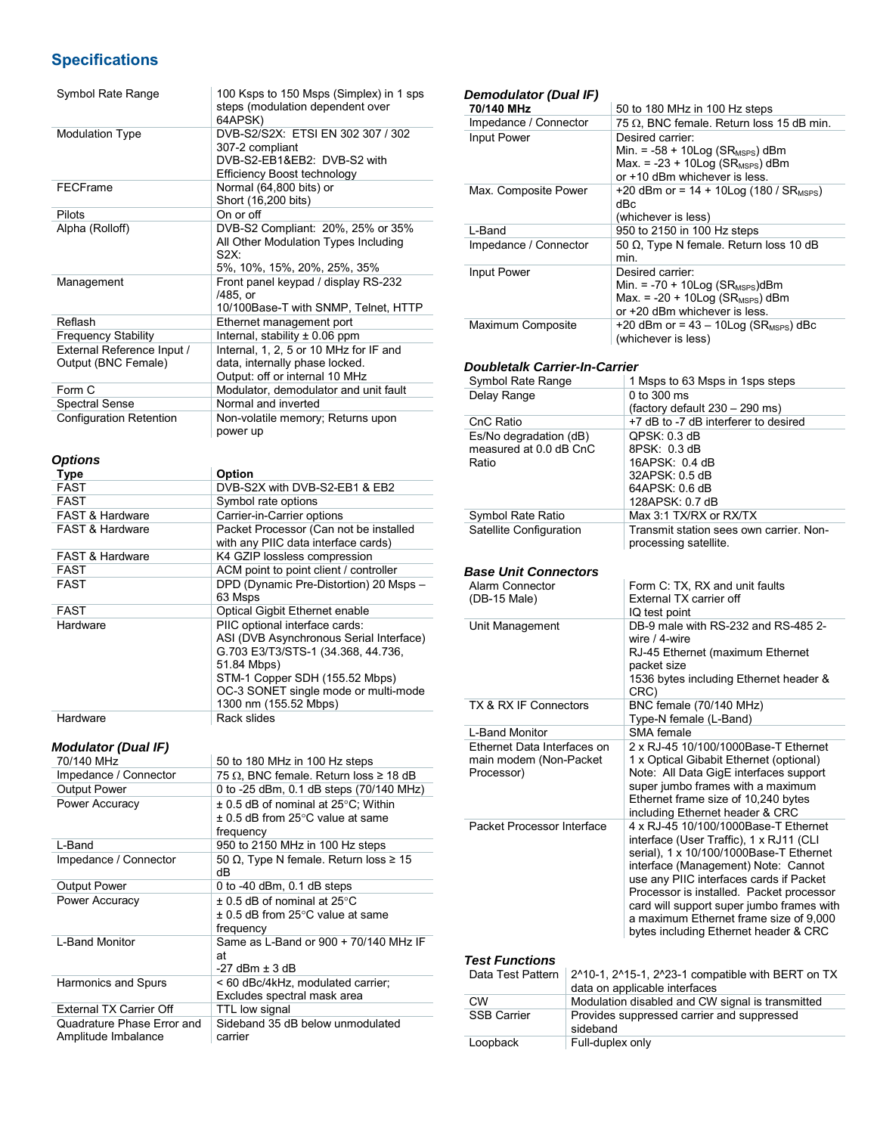## **Specifications**

| Symbol Rate Range              | 100 Ksps to 150 Msps (Simplex) in 1 sps<br>steps (modulation dependent over |
|--------------------------------|-----------------------------------------------------------------------------|
|                                | 64APSK)                                                                     |
| <b>Modulation Type</b>         | DVB-S2/S2X: ETSI EN 302 307 / 302                                           |
|                                | 307-2 compliant                                                             |
|                                | DVB-S2-EB1&EB2: DVB-S2 with                                                 |
|                                | Efficiency Boost technology                                                 |
| FECFrame                       | Normal (64,800 bits) or                                                     |
|                                | Short (16,200 bits)                                                         |
| Pilots                         | On or off                                                                   |
| Alpha (Rolloff)                | DVB-S2 Compliant: 20%, 25% or 35%                                           |
|                                | All Other Modulation Types Including                                        |
|                                | S2X                                                                         |
|                                | 5%, 10%, 15%, 20%, 25%, 35%                                                 |
| Management                     | Front panel keypad / display RS-232                                         |
|                                | /485, or                                                                    |
|                                | 10/100Base-T with SNMP, Telnet, HTTP                                        |
| Reflash                        | Ethernet management port                                                    |
| <b>Frequency Stability</b>     | Internal, stability $\pm$ 0.06 ppm                                          |
| External Reference Input /     | Internal, 1, 2, 5 or 10 MHz for IF and                                      |
| Output (BNC Female)            | data, internally phase locked.                                              |
|                                | Output: off or internal 10 MHz                                              |
| Form C                         | Modulator, demodulator and unit fault                                       |
| <b>Spectral Sense</b>          | Normal and inverted                                                         |
| <b>Configuration Retention</b> | Non-volatile memory; Returns upon                                           |
|                                | power up                                                                    |
|                                |                                                                             |

### *Options*

| Type                       | Option                                                                                                                                                                                                                            |
|----------------------------|-----------------------------------------------------------------------------------------------------------------------------------------------------------------------------------------------------------------------------------|
| <b>FAST</b>                | DVB-S2X with DVB-S2-EB1 & EB2                                                                                                                                                                                                     |
| <b>FAST</b>                | Symbol rate options                                                                                                                                                                                                               |
| <b>FAST &amp; Hardware</b> | Carrier-in-Carrier options                                                                                                                                                                                                        |
| <b>FAST &amp; Hardware</b> | Packet Processor (Can not be installed<br>with any PIIC data interface cards)                                                                                                                                                     |
| <b>FAST &amp; Hardware</b> | K4 GZIP lossless compression                                                                                                                                                                                                      |
| <b>FAST</b>                | ACM point to point client / controller                                                                                                                                                                                            |
| <b>FAST</b>                | DPD (Dynamic Pre-Distortion) 20 Msps -<br>63 Msps                                                                                                                                                                                 |
| <b>FAST</b>                | Optical Gigbit Ethernet enable                                                                                                                                                                                                    |
| Hardware                   | PIIC optional interface cards:<br>ASI (DVB Asynchronous Serial Interface)<br>G.703 E3/T3/STS-1 (34.368, 44.736,<br>51.84 Mbps)<br>STM-1 Copper SDH (155.52 Mbps)<br>OC-3 SONET single mode or multi-mode<br>1300 nm (155.52 Mbps) |
| Hardware                   | Rack slides                                                                                                                                                                                                                       |

## *Modulator (Dual IF)*

| <i><b>NOQUIATOr (DUALIF)</b></i>                  |                                                                                                        |
|---------------------------------------------------|--------------------------------------------------------------------------------------------------------|
| 70/140 MHz                                        | 50 to 180 MHz in 100 Hz steps                                                                          |
| Impedance / Connector                             | 75 $\Omega$ , BNC female. Return loss $\geq$ 18 dB                                                     |
| <b>Output Power</b>                               | 0 to -25 dBm, 0.1 dB steps (70/140 MHz)                                                                |
| Power Accuracy                                    | $\pm$ 0.5 dB of nominal at 25°C; Within<br>$\pm$ 0.5 dB from 25 $\degree$ C value at same<br>frequency |
| L-Band                                            | 950 to 2150 MHz in 100 Hz steps                                                                        |
| Impedance / Connector                             | 50 Ω, Type N female. Return loss $\geq 15$<br>dB                                                       |
| <b>Output Power</b>                               | 0 to $-40$ dBm, 0.1 dB steps                                                                           |
| Power Accuracy                                    | $\pm$ 0.5 dB of nominal at 25°C<br>$\pm$ 0.5 dB from 25 $\degree$ C value at same<br>frequency         |
| L-Band Monitor                                    | Same as L-Band or 900 + 70/140 MHz IF<br>at<br>$-27$ dBm $\pm$ 3 dB                                    |
| <b>Harmonics and Spurs</b>                        | < 60 dBc/4kHz, modulated carrier;<br>Excludes spectral mask area                                       |
| <b>External TX Carrier Off</b>                    | TTL low signal                                                                                         |
| Quadrature Phase Error and<br>Amplitude Imbalance | Sideband 35 dB below unmodulated<br>carrier                                                            |

| <b>Demodulator (Dual IF)</b>         |                                            |                                                                                                        |  |  |  |  |
|--------------------------------------|--------------------------------------------|--------------------------------------------------------------------------------------------------------|--|--|--|--|
| 70/140 MHz                           |                                            | 50 to 180 MHz in 100 Hz steps                                                                          |  |  |  |  |
| Impedance / Connector                |                                            | 75 $\Omega$ , BNC female. Return loss 15 dB min.                                                       |  |  |  |  |
| Input Power                          |                                            | Desired carrier:                                                                                       |  |  |  |  |
|                                      |                                            | Min. = $-58 + 10 \text{Log}$ (SR <sub>MSPS</sub> ) dBm<br>Max. = -23 + 10Log (SR <sub>MSPS</sub> ) dBm |  |  |  |  |
|                                      |                                            | or +10 dBm whichever is less.                                                                          |  |  |  |  |
| Max. Composite Power                 |                                            | +20 dBm or = $14 + 10 \text{Log} (180 / SR_{MSPS})$                                                    |  |  |  |  |
|                                      |                                            | dBc                                                                                                    |  |  |  |  |
|                                      |                                            | (whichever is less)                                                                                    |  |  |  |  |
| L-Band                               |                                            | 950 to 2150 in 100 Hz steps                                                                            |  |  |  |  |
| Impedance / Connector                |                                            | 50 Ω, Type N female. Return loss 10 dB                                                                 |  |  |  |  |
|                                      |                                            | min.                                                                                                   |  |  |  |  |
| <b>Input Power</b>                   |                                            | Desired carrier:                                                                                       |  |  |  |  |
|                                      |                                            | Min. = $-70 + 10 \text{Log}$ (SR <sub>MSPS</sub> )dBm                                                  |  |  |  |  |
|                                      |                                            | Max. $= -20 + 10 \text{Log (SR}_\text{MSPS})$ dBm                                                      |  |  |  |  |
|                                      |                                            | or +20 dBm whichever is less.                                                                          |  |  |  |  |
| Maximum Composite                    |                                            | +20 dBm or = $43 - 10 \text{Log}$ (SR <sub>MSPS</sub> ) dBc                                            |  |  |  |  |
|                                      |                                            | (whichever is less)                                                                                    |  |  |  |  |
|                                      |                                            |                                                                                                        |  |  |  |  |
| <b>Doubletalk Carrier-In-Carrier</b> |                                            |                                                                                                        |  |  |  |  |
| Symbol Rate Range                    |                                            | 1 Msps to 63 Msps in 1sps steps                                                                        |  |  |  |  |
| Delay Range                          |                                            | 0 to 300 ms                                                                                            |  |  |  |  |
|                                      |                                            | (factory default 230 - 290 ms)                                                                         |  |  |  |  |
| CnC Ratio                            |                                            | +7 dB to -7 dB interferer to desired                                                                   |  |  |  |  |
| Es/No degradation (dB)               |                                            | QPSK: 0.3 dB                                                                                           |  |  |  |  |
| measured at 0.0 dB CnC<br>Ratio      |                                            | 8PSK: 0.3 dB<br>16APSK: 0.4 dB                                                                         |  |  |  |  |
|                                      |                                            | 32APSK: 0.5 dB                                                                                         |  |  |  |  |
|                                      |                                            | 64APSK: 0.6 dB                                                                                         |  |  |  |  |
|                                      |                                            | 128APSK: 0.7 dB                                                                                        |  |  |  |  |
| Symbol Rate Ratio                    |                                            | Max 3:1 TX/RX or RX/TX                                                                                 |  |  |  |  |
| Satellite Configuration              |                                            | Transmit station sees own carrier. Non-                                                                |  |  |  |  |
|                                      |                                            | processing satellite.                                                                                  |  |  |  |  |
|                                      |                                            |                                                                                                        |  |  |  |  |
| <b>Base Unit Connectors</b>          |                                            |                                                                                                        |  |  |  |  |
| Alarm Connector                      |                                            | Form C: TX, RX and unit faults                                                                         |  |  |  |  |
| (DB-15 Male)                         |                                            | External TX carrier off                                                                                |  |  |  |  |
|                                      |                                            | IQ test point                                                                                          |  |  |  |  |
| Unit Management                      |                                            | DB-9 male with RS-232 and RS-485 2-<br>wire / 4-wire                                                   |  |  |  |  |
|                                      |                                            |                                                                                                        |  |  |  |  |
|                                      |                                            | RJ-45 Ethernet (maximum Ethernet<br>packet size                                                        |  |  |  |  |
|                                      |                                            | 1536 bytes including Ethernet header &                                                                 |  |  |  |  |
|                                      |                                            | CRC)                                                                                                   |  |  |  |  |
| TX & RX IF Connectors                |                                            | BNC female (70/140 MHz)                                                                                |  |  |  |  |
|                                      |                                            | Type-N female (L-Band)                                                                                 |  |  |  |  |
| L-Band Monitor                       |                                            | SMA female                                                                                             |  |  |  |  |
| Ethernet Data Interfaces on          |                                            | 2 x RJ-45 10/100/1000Base-T Ethernet                                                                   |  |  |  |  |
| main modem (Non-Packet               |                                            | 1 x Optical Gibabit Ethernet (optional)                                                                |  |  |  |  |
| Processor)                           |                                            | Note: All Data GigE interfaces support                                                                 |  |  |  |  |
|                                      |                                            | super jumbo frames with a maximum                                                                      |  |  |  |  |
|                                      |                                            | Ethernet frame size of 10,240 bytes                                                                    |  |  |  |  |
|                                      |                                            | including Ethernet header & CRC                                                                        |  |  |  |  |
| Packet Processor Interface           |                                            | 4 x RJ-45 10/100/1000Base-T Ethernet                                                                   |  |  |  |  |
|                                      |                                            | interface (User Traffic), 1 x RJ11 (CLI                                                                |  |  |  |  |
|                                      |                                            | serial), 1 x 10/100/1000Base-T Ethernet                                                                |  |  |  |  |
|                                      |                                            | interface (Management) Note: Cannot<br>use any PIIC interfaces cards if Packet                         |  |  |  |  |
|                                      |                                            | Processor is installed. Packet processor                                                               |  |  |  |  |
|                                      |                                            | card will support super jumbo frames with                                                              |  |  |  |  |
|                                      |                                            | a maximum Ethernet frame size of 9,000                                                                 |  |  |  |  |
|                                      |                                            | bytes including Ethernet header & CRC                                                                  |  |  |  |  |
|                                      |                                            |                                                                                                        |  |  |  |  |
| <b>Test Functions</b>                |                                            |                                                                                                        |  |  |  |  |
| Data Test Pattern                    |                                            | 2^10-1, 2^15-1, 2^23-1 compatible with BERT on TX                                                      |  |  |  |  |
|                                      |                                            | data on applicable interfaces                                                                          |  |  |  |  |
| <b>CW</b>                            |                                            | Modulation disabled and CW signal is transmitted                                                       |  |  |  |  |
| <b>SSB Carrier</b>                   | Provides suppressed carrier and suppressed |                                                                                                        |  |  |  |  |

sideband

Loopback Full-duplex only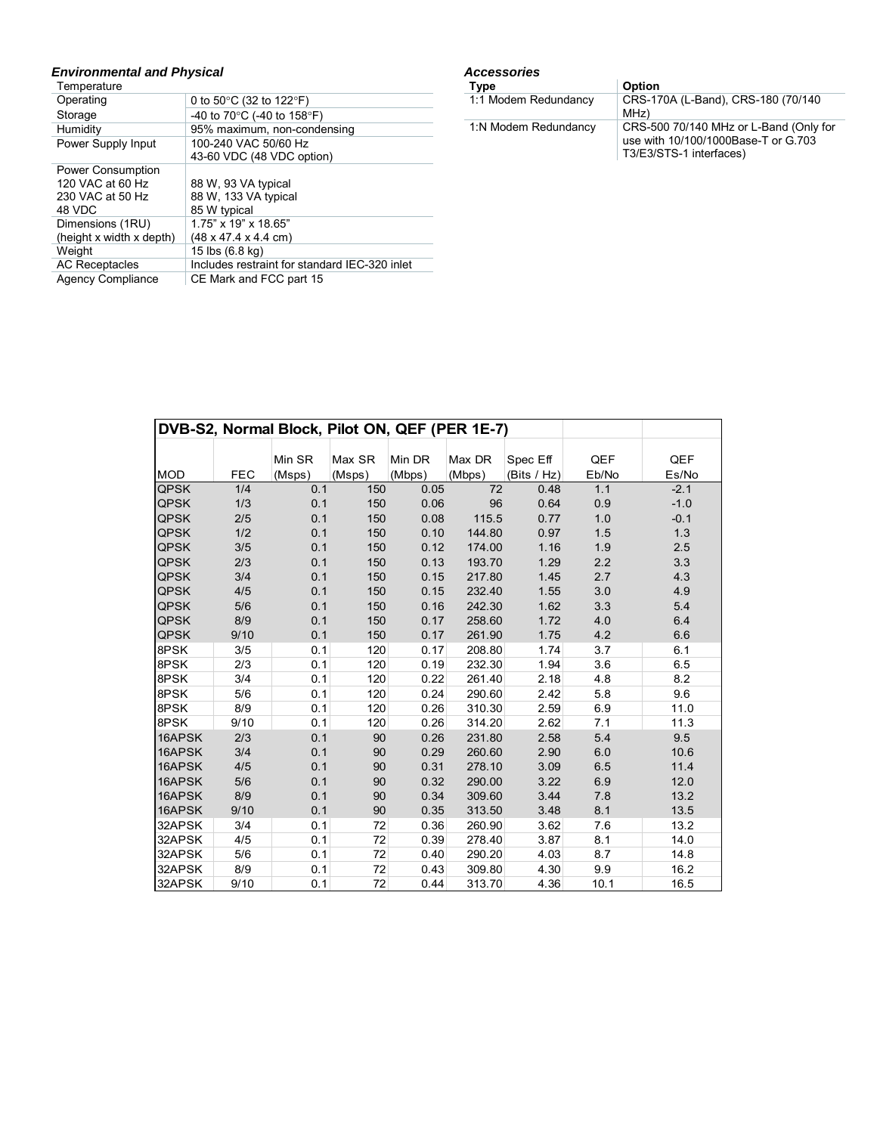## *Environmental and Physical*

| Temperature              |                                                |
|--------------------------|------------------------------------------------|
| Operating                | 0 to 50 $\degree$ C (32 to 122 $\degree$ F)    |
| Storage                  | -40 to 70 $\degree$ C (-40 to 158 $\degree$ F) |
| Humidity                 | 95% maximum, non-condensing                    |
| Power Supply Input       | 100-240 VAC 50/60 Hz                           |
|                          | 43-60 VDC (48 VDC option)                      |
| <b>Power Consumption</b> |                                                |
| 120 VAC at 60 Hz         | 88 W, 93 VA typical                            |
| 230 VAC at 50 Hz         | 88 W, 133 VA typical                           |
| 48 VDC                   | 85 W typical                                   |
| Dimensions (1RU)         | 1.75" x 19" x 18.65"                           |
| (height x width x depth) | $(48 \times 47.4 \times 4.4 \text{ cm})$       |
| Weight                   | 15 lbs (6.8 kg)                                |
| <b>AC Receptacles</b>    | Includes restraint for standard IEC-320 inlet  |
| <b>Agency Compliance</b> | CE Mark and FCC part 15                        |

#### *Accessories*

| Type                 | Option                                                                                                   |
|----------------------|----------------------------------------------------------------------------------------------------------|
| 1:1 Modem Redundancy | CRS-170A (L-Band), CRS-180 (70/140)<br>MHz)                                                              |
| 1:N Modem Redundancy | CRS-500 70/140 MHz or L-Band (Only for<br>use with 10/100/1000Base-T or G.703<br>T3/E3/STS-1 interfaces) |

|             |            |        | DVB-S2, Normal Block, Pilot ON, QEF (PER 1E-7) |        |        |             |       |        |
|-------------|------------|--------|------------------------------------------------|--------|--------|-------------|-------|--------|
|             |            |        |                                                |        |        |             |       |        |
|             |            | Min SR | Max SR                                         | Min DR | Max DR | Spec Eff    | QEF   | QEF    |
| <b>MOD</b>  | <b>FEC</b> | (Msps) | (Msps)                                         | (Mbps) | (Mbps) | (Bits / Hz) | Eb/No | Es/No  |
| <b>QPSK</b> | 1/4        | 0.1    | 150                                            | 0.05   | 72     | 0.48        | 1.1   | $-2.1$ |
| <b>QPSK</b> | 1/3        | 0.1    | 150                                            | 0.06   | 96     | 0.64        | 0.9   | $-1.0$ |
| <b>QPSK</b> | 2/5        | 0.1    | 150                                            | 0.08   | 115.5  | 0.77        | 1.0   | $-0.1$ |
| <b>QPSK</b> | 1/2        | 0.1    | 150                                            | 0.10   | 144.80 | 0.97        | 1.5   | 1.3    |
| <b>QPSK</b> | 3/5        | 0.1    | 150                                            | 0.12   | 174.00 | 1.16        | 1.9   | 2.5    |
| <b>QPSK</b> | 2/3        | 0.1    | 150                                            | 0.13   | 193.70 | 1.29        | 2.2   | 3.3    |
| <b>QPSK</b> | 3/4        | 0.1    | 150                                            | 0.15   | 217.80 | 1.45        | 2.7   | 4.3    |
| <b>QPSK</b> | 4/5        | 0.1    | 150                                            | 0.15   | 232.40 | 1.55        | 3.0   | 4.9    |
| <b>QPSK</b> | 5/6        | 0.1    | 150                                            | 0.16   | 242.30 | 1.62        | 3.3   | 5.4    |
| <b>QPSK</b> | 8/9        | 0.1    | 150                                            | 0.17   | 258.60 | 1.72        | 4.0   | 6.4    |
| <b>QPSK</b> | 9/10       | 0.1    | 150                                            | 0.17   | 261.90 | 1.75        | 4.2   | 6.6    |
| 8PSK        | 3/5        | 0.1    | 120                                            | 0.17   | 208.80 | 1.74        | 3.7   | 6.1    |
| 8PSK        | 2/3        | 0.1    | 120                                            | 0.19   | 232.30 | 1.94        | 3.6   | 6.5    |
| 8PSK        | 3/4        | 0.1    | 120                                            | 0.22   | 261.40 | 2.18        | 4.8   | 8.2    |
| 8PSK        | 5/6        | 0.1    | 120                                            | 0.24   | 290.60 | 2.42        | 5.8   | 9.6    |
| 8PSK        | 8/9        | 0.1    | 120                                            | 0.26   | 310.30 | 2.59        | 6.9   | 11.0   |
| 8PSK        | 9/10       | 0.1    | 120                                            | 0.26   | 314.20 | 2.62        | 7.1   | 11.3   |
| 16APSK      | 2/3        | 0.1    | 90                                             | 0.26   | 231.80 | 2.58        | 5.4   | 9.5    |
| 16APSK      | 3/4        | 0.1    | 90                                             | 0.29   | 260.60 | 2.90        | 6.0   | 10.6   |
| 16APSK      | 4/5        | 0.1    | 90                                             | 0.31   | 278.10 | 3.09        | 6.5   | 11.4   |
| 16APSK      | 5/6        | 0.1    | 90                                             | 0.32   | 290.00 | 3.22        | 6.9   | 12.0   |
| 16APSK      | 8/9        | 0.1    | 90                                             | 0.34   | 309.60 | 3.44        | 7.8   | 13.2   |
| 16APSK      | 9/10       | 0.1    | 90                                             | 0.35   | 313.50 | 3.48        | 8.1   | 13.5   |
| 32APSK      | 3/4        | 0.1    | 72                                             | 0.36   | 260.90 | 3.62        | 7.6   | 13.2   |
| 32APSK      | 4/5        | 0.1    | 72                                             | 0.39   | 278.40 | 3.87        | 8.1   | 14.0   |
| 32APSK      | 5/6        | 0.1    | 72                                             | 0.40   | 290.20 | 4.03        | 8.7   | 14.8   |
| 32APSK      | 8/9        | 0.1    | 72                                             | 0.43   | 309.80 | 4.30        | 9.9   | 16.2   |
| 32APSK      | 9/10       | 0.1    | 72                                             | 0.44   | 313.70 | 4.36        | 10.1  | 16.5   |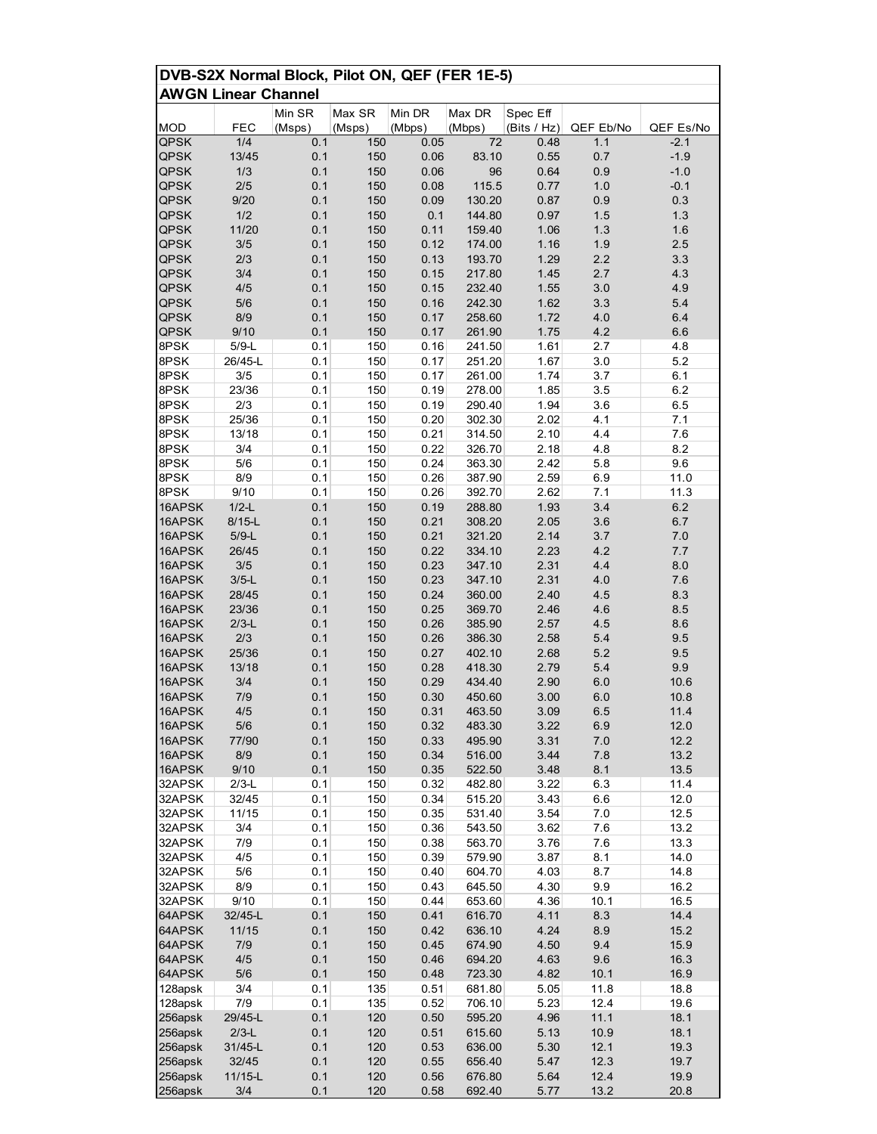|                            | DVB-S2X Normal Block, Pilot ON, QEF (FER 1E-5) |            |            |              |                  |              |            |              |  |
|----------------------------|------------------------------------------------|------------|------------|--------------|------------------|--------------|------------|--------------|--|
| <b>AWGN Linear Channel</b> |                                                |            |            |              |                  |              |            |              |  |
|                            |                                                | Min SR     | Max SR     | Min DR       | Max DR           | Spec Eff     |            |              |  |
| <b>MOD</b>                 | FEC                                            | (Msps)     | (Msps)     | (Mbps)       | (Mbps)           | (Bits / Hz)  | QEF Eb/No  | QEF Es/No    |  |
| <b>QPSK</b>                | 1/4                                            | 0.1        | 150        | 0.05         | 72               | 0.48         | 1.1        | $-2.1$       |  |
| <b>QPSK</b>                | 13/45                                          | 0.1        | 150        | 0.06         | 83.10            | 0.55         | 0.7        | $-1.9$       |  |
| <b>QPSK</b>                | 1/3                                            | 0.1        | 150        | 0.06         | 96               | 0.64         | 0.9        | $-1.0$       |  |
| <b>QPSK</b>                | 2/5                                            | 0.1        | 150        | 0.08         | 115.5            | 0.77         | 1.0        | $-0.1$       |  |
| <b>QPSK</b>                | 9/20                                           | 0.1        | 150        | 0.09         | 130.20           | 0.87         | 0.9        | 0.3          |  |
| <b>QPSK</b><br><b>QPSK</b> | 1/2<br>11/20                                   | 0.1<br>0.1 | 150<br>150 | 0.1<br>0.11  | 144.80<br>159.40 | 0.97<br>1.06 | 1.5<br>1.3 | 1.3<br>1.6   |  |
| <b>QPSK</b>                | 3/5                                            | 0.1        | 150        | 0.12         | 174.00           | 1.16         | 1.9        | 2.5          |  |
| <b>QPSK</b>                | 2/3                                            | 0.1        | 150        | 0.13         | 193.70           | 1.29         | 2.2        | 3.3          |  |
| <b>QPSK</b>                | 3/4                                            | 0.1        | 150        | 0.15         | 217.80           | 1.45         | 2.7        | 4.3          |  |
| <b>QPSK</b>                | 4/5                                            | 0.1        | 150        | 0.15         | 232.40           | 1.55         | 3.0        | 4.9          |  |
| <b>QPSK</b>                | 5/6                                            | 0.1        | 150        | 0.16         | 242.30           | 1.62         | 3.3        | 5.4          |  |
| <b>QPSK</b>                | 8/9                                            | 0.1        | 150        | 0.17         | 258.60           | 1.72         | 4.0        | 6.4          |  |
| QPSK                       | 9/10                                           | 0.1        | 150        | 0.17         | 261.90           | 1.75         | 4.2        | 6.6          |  |
| 8PSK                       | $5/9-L$                                        | 0.1        | 150        | 0.16         | 241.50           | 1.61         | 2.7        | 4.8          |  |
| 8PSK                       | 26/45-L                                        | 0.1        | 150        | 0.17         | 251.20           | 1.67         | 3.0        | 5.2          |  |
| 8PSK                       | 3/5                                            | 0.1        | 150        | 0.17         | 261.00           | 1.74         | 3.7        | 6.1          |  |
| 8PSK<br>8PSK               | 23/36<br>2/3                                   | 0.1<br>0.1 | 150<br>150 | 0.19<br>0.19 | 278.00<br>290.40 | 1.85<br>1.94 | 3.5<br>3.6 | 6.2<br>6.5   |  |
| 8PSK                       | 25/36                                          | 0.1        | 150        | 0.20         | 302.30           | 2.02         | 4.1        | 7.1          |  |
| 8PSK                       | 13/18                                          | 0.1        | 150        | 0.21         | 314.50           | 2.10         | 4.4        | 7.6          |  |
| 8PSK                       | 3/4                                            | 0.1        | 150        | 0.22         | 326.70           | 2.18         | 4.8        | 8.2          |  |
| 8PSK                       | 5/6                                            | 0.1        | 150        | 0.24         | 363.30           | 2.42         | 5.8        | 9.6          |  |
| 8PSK                       | 8/9                                            | 0.1        | 150        | 0.26         | 387.90           | 2.59         | 6.9        | 11.0         |  |
| 8PSK                       | 9/10                                           | 0.1        | 150        | 0.26         | 392.70           | 2.62         | 7.1        | 11.3         |  |
| 16APSK                     | $1/2-L$                                        | 0.1        | 150        | 0.19         | 288.80           | 1.93         | 3.4        | 6.2          |  |
| 16APSK                     | $8/15-L$                                       | 0.1        | 150        | 0.21         | 308.20           | 2.05         | 3.6        | 6.7          |  |
| 16APSK                     | $5/9-L$                                        | 0.1        | 150        | 0.21         | 321.20           | 2.14         | 3.7        | 7.0          |  |
| 16APSK                     | 26/45                                          | 0.1        | 150        | 0.22         | 334.10           | 2.23         | 4.2        | 7.7          |  |
| 16APSK                     | 3/5                                            | 0.1        | 150        | 0.23         | 347.10           | 2.31         | 4.4        | 8.0          |  |
| 16APSK<br>16APSK           | $3/5-L$<br>28/45                               | 0.1<br>0.1 | 150<br>150 | 0.23<br>0.24 | 347.10<br>360.00 | 2.31<br>2.40 | 4.0<br>4.5 | 7.6<br>8.3   |  |
| 16APSK                     | 23/36                                          | 0.1        | 150        | 0.25         | 369.70           | 2.46         | 4.6        | 8.5          |  |
| 16APSK                     | $2/3-L$                                        | 0.1        | 150        | 0.26         | 385.90           | 2.57         | 4.5        | 8.6          |  |
| 16APSK                     | 2/3                                            | 0.1        | 150        | 0.26         | 386.30           | 2.58         | 5.4        | 9.5          |  |
| 16APSK                     | 25/36                                          | 0.1        | 150        | 0.27         | 402.10           | 2.68         | 5.2        | 9.5          |  |
| 16APSK                     | 13/18                                          | 0.1        | 150        | 0.28         | 418.30           | 2.79         | 5.4        | 9.9          |  |
| 16APSK                     | 3/4                                            | 0.1        | 150        | 0.29         | 434.40           | 2.90         | 6.0        | 10.6         |  |
| 16APSK                     | 7/9                                            | 0.1        | 150        | 0.30         | 450.60           | 3.00         | 6.0        | 10.8         |  |
| 16APSK                     | 4/5                                            | 0.1        | 150        | 0.31         | 463.50           | 3.09         | 6.5        | 11.4         |  |
| 16APSK                     | 5/6                                            | 0.1        | 150        | 0.32         | 483.30           | 3.22         | 6.9        | 12.0         |  |
| 16APSK                     | 77/90                                          | 0.1        | 150        | 0.33         | 495.90           | 3.31         | $7.0\,$    | 12.2         |  |
| 16APSK<br>16APSK           | 8/9<br>9/10                                    | 0.1<br>0.1 | 150<br>150 | 0.34<br>0.35 | 516.00<br>522.50 | 3.44<br>3.48 | 7.8<br>8.1 | 13.2<br>13.5 |  |
| 32APSK                     | $2/3-L$                                        | 0.1        | 150        | 0.32         | 482.80           | 3.22         | 6.3        | 11.4         |  |
| 32APSK                     | 32/45                                          | 0.1        | 150        | 0.34         | 515.20           | 3.43         | 6.6        | 12.0         |  |
| 32APSK                     | 11/15                                          | 0.1        | 150        | 0.35         | 531.40           | 3.54         | 7.0        | 12.5         |  |
| 32APSK                     | 3/4                                            | 0.1        | 150        | 0.36         | 543.50           | 3.62         | 7.6        | 13.2         |  |
| 32APSK                     | 7/9                                            | 0.1        | 150        | 0.38         | 563.70           | 3.76         | 7.6        | 13.3         |  |
| 32APSK                     | 4/5                                            | 0.1        | 150        | 0.39         | 579.90           | 3.87         | 8.1        | 14.0         |  |
| 32APSK                     | $5/6$                                          | 0.1        | 150        | 0.40         | 604.70           | 4.03         | 8.7        | 14.8         |  |
| 32APSK                     | 8/9                                            | 0.1        | 150        | 0.43         | 645.50           | 4.30         | 9.9        | 16.2         |  |
| 32APSK                     | 9/10                                           | 0.1        | 150        | 0.44         | 653.60           | 4.36         | 10.1       | 16.5         |  |
| 64APSK                     | 32/45-L                                        | 0.1        | 150        | 0.41         | 616.70           | 4.11         | 8.3        | 14.4         |  |
| 64APSK<br>64APSK           | 11/15<br>7/9                                   | 0.1<br>0.1 | 150<br>150 | 0.42<br>0.45 | 636.10<br>674.90 | 4.24<br>4.50 | 8.9<br>9.4 | 15.2<br>15.9 |  |
| 64APSK                     | 4/5                                            | 0.1        | 150        | 0.46         | 694.20           | 4.63         | 9.6        | 16.3         |  |
| 64APSK                     | 5/6                                            | 0.1        | 150        | 0.48         | 723.30           | 4.82         | 10.1       | 16.9         |  |
| 128apsk                    | 3/4                                            | 0.1        | 135        | 0.51         | 681.80           | 5.05         | 11.8       | 18.8         |  |
| 128apsk                    | 7/9                                            | 0.1        | 135        | 0.52         | 706.10           | 5.23         | 12.4       | 19.6         |  |
| 256apsk                    | 29/45-L                                        | 0.1        | 120        | 0.50         | 595.20           | 4.96         | 11.1       | 18.1         |  |
| 256apsk                    | $2/3-L$                                        | 0.1        | 120        | 0.51         | 615.60           | 5.13         | 10.9       | 18.1         |  |
| 256apsk                    | 31/45-L                                        | 0.1        | 120        | 0.53         | 636.00           | 5.30         | 12.1       | 19.3         |  |
| 256apsk                    | 32/45                                          | 0.1        | 120        | 0.55         | 656.40           | 5.47         | 12.3       | 19.7         |  |
| 256apsk                    | 11/15-L                                        | 0.1        | 120        | 0.56         | 676.80           | 5.64         | 12.4       | 19.9         |  |
| 256apsk                    | 3/4                                            | 0.1        | 120        | 0.58         | 692.40           | 5.77         | 13.2       | 20.8         |  |